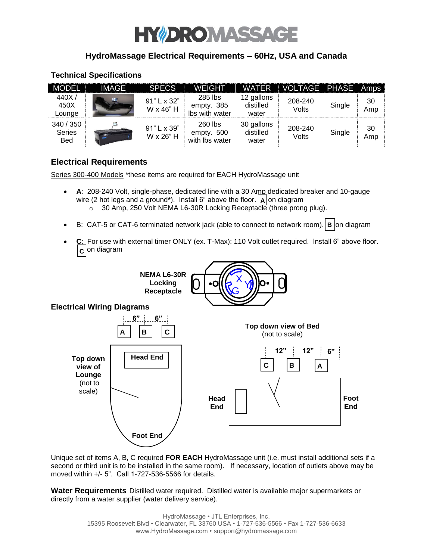# HY DRO MASS

## **HydroMassage Electrical Requirements – 60Hz, USA and Canada**

#### **Technical Specifications**

| <b>MODEL</b>                             | <b>IMAGE</b>                       | <b>SPECS</b>             | <b>WEIGHT</b>                           | <b>WATER</b>                     | VOLTAGE PHASE Amps |        |           |
|------------------------------------------|------------------------------------|--------------------------|-----------------------------------------|----------------------------------|--------------------|--------|-----------|
| 440X/<br>450X<br>Lounge                  | 绿                                  | 91" L x 32"<br>W x 46" H | 285 lbs<br>empty. 385<br>Ibs with water | 12 gallons<br>distilled<br>water | 208-240<br>Volts   | Single | 30<br>Amp |
| 340 / 350<br><b>Series</b><br><b>Bed</b> | No. of Concession, Name of Street, | 91" L x 39"<br>W x 26" H | 260 lbs<br>empty. 500<br>with lbs water | 30 gallons<br>distilled<br>water | 208-240<br>Volts   | Single | 30<br>Amp |

## **Electrical Requirements**

Series 300-400 Models \*these items are required for EACH HydroMassage unit

- **A**: 208-240 Volt, single-phase, dedicated line with a 30 Amp dedicated breaker and 10-gauge wire (2 hot legs and a ground\*). Install 6" above the floor.  $|\mathbf{A}|$  on diagram o 30 Amp, 250 Volt NEMA L6-30R Locking Receptacle (three prong plug).
- B: CAT-5 or CAT-6 terminated network jack (able to connect to network room).  $\vert$  **B**  $\vert$ on diagram
- **C**: For use with external timer ONLY (ex. T-Max): 110 Volt outlet required. Install 6" above floor. **c** on diagram





Unique set of items A, B, C required **FOR EACH** HydroMassage unit (i.e. must install additional sets if a second or third unit is to be installed in the same room). If necessary, location of outlets above may be moved within +/- 5". Call 1-727-536-5566 for details.

**Water Requirements** Distilled water required. Distilled water is available major supermarkets or directly from a water supplier (water delivery service).